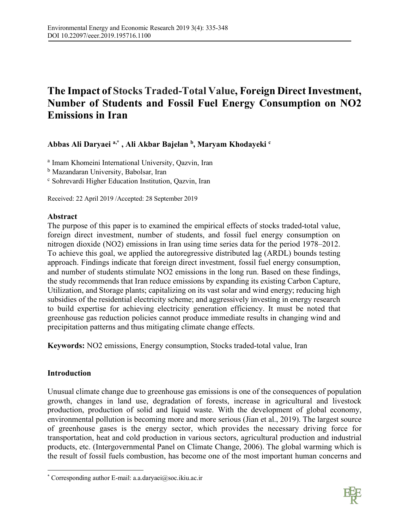# **The Impact of Stocks Traded-Total Value, Foreign Direct Investment, Number of Students and Fossil Fuel Energy Consumption on NO2 Emissions in Iran**

**Abbas Ali Daryaei a,\* , Ali Akbar Bajelan b, Maryam Khodayeki <sup>c</sup>**

<sup>a</sup> Imam Khomeini International University, Qazvin, Iran

b Mazandaran University, Babolsar, Iran

<sup>c</sup> Sohrevardi Higher Education Institution, Qazvin, Iran

Received: 22 April 2019 /Accepted: 28 September 2019

# **Abstract**

The purpose of this paper is to examined the empirical effects of stocks traded-total value, foreign direct investment, number of students, and fossil fuel energy consumption on nitrogen dioxide (NO2) emissions in Iran using time series data for the period 1978–2012. To achieve this goal, we applied the autoregressive distributed lag (ARDL) bounds testing approach. Findings indicate that foreign direct investment, fossil fuel energy consumption, and number of students stimulate NO2 emissions in the long run. Based on these findings, the study recommends that Iran reduce emissions by expanding its existing Carbon Capture, Utilization, and Storage plants; capitalizing on its vast solar and wind energy; reducing high subsidies of the residential electricity scheme; and aggressively investing in energy research to build expertise for achieving electricity generation efficiency. It must be noted that greenhouse gas reduction policies cannot produce immediate results in changing wind and precipitation patterns and thus mitigating climate change effects.

**Keywords:** NO2 emissions, Energy consumption, Stocks traded-total value, Iran

# **Introduction**

 $\overline{a}$ 

Unusual climate change due to greenhouse gas emissions is one of the consequences of population growth, changes in land use, degradation of forests, increase in agricultural and livestock production, production of solid and liquid waste. With the development of global economy, environmental pollution is becoming more and more serious (Jian et al., 2019). The largest source of greenhouse gases is the energy sector, which provides the necessary driving force for transportation, heat and cold production in various sectors, agricultural production and industrial products, etc. (Intergovernmental Panel on Climate Change, 2006). The global warming which is the result of fossil fuels combustion, has become one of the most important human concerns and



<sup>\*</sup> Corresponding author E-mail: a.a.daryaei@soc.ikiu.ac.ir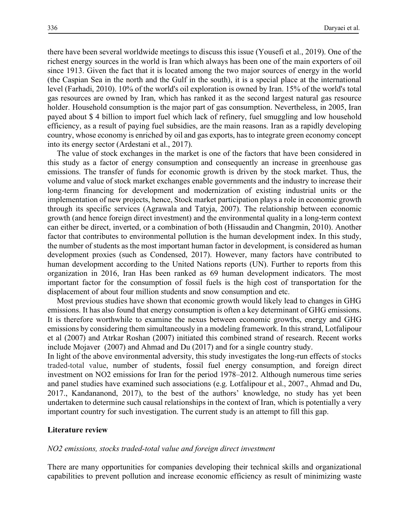there have been several worldwide meetings to discuss this issue (Yousefi et al., 2019). One of the richest energy sources in the world is Iran which always has been one of the main exporters of oil since 1913. Given the fact that it is located among the two major sources of energy in the world (the Caspian Sea in the north and the Gulf in the south), it is a special place at the international level (Farhadi, 2010). 10% of the world's oil exploration is owned by Iran. 15% of the world's total gas resources are owned by Iran, which has ranked it as the second largest natural gas resource holder. Household consumption is the major part of gas consumption. Nevertheless, in 2005, Iran payed about \$ 4 billion to import fuel which lack of refinery, fuel smuggling and low household efficiency, as a result of paying fuel subsidies, are the main reasons. Iran as a rapidly developing country, whose economy is enriched by oil and gas exports, has to integrate green economy concept into its energy sector (Ardestani et al., 2017).

The value of stock exchanges in the market is one of the factors that have been considered in this study as a factor of energy consumption and consequently an increase in greenhouse gas emissions. The transfer of funds for economic growth is driven by the stock market. Thus, the volume and value of stock market exchanges enable governments and the industry to increase their long-term financing for development and modernization of existing industrial units or the implementation of new projects, hence, Stock market participation plays a role in economic growth through its specific services (Agrawala and Tatyja, 2007). The relationship between economic growth (and hence foreign direct investment) and the environmental quality in a long-term context can either be direct, inverted, or a combination of both (Hissaudin and Changmin, 2010). Another factor that contributes to environmental pollution is the human development index. In this study, the number of students as the most important human factor in development, is considered as human development proxies (such as Condensed, 2017). However, many factors have contributed to human development according to the United Nations reports (UN). Further to reports from this organization in 2016, Iran Has been ranked as 69 human development indicators. The most important factor for the consumption of fossil fuels is the high cost of transportation for the displacement of about four million students and snow consumption and etc.

Most previous studies have shown that economic growth would likely lead to changes in GHG emissions. It has also found that energy consumption is often a key determinant of GHG emissions. It is therefore worthwhile to examine the nexus between economic growths, energy and GHG emissions by considering them simultaneously in a modeling framework. In this strand, Lotfalipour et al (2007) and Atrkar Roshan (2007) initiated this combined strand of research. Recent works include Mojaver (2007) and Ahmad and Du (2017) and for a single country study.

In light of the above environmental adversity, this study investigates the long-run effects of stocks traded-total value, number of students, fossil fuel energy consumption, and foreign direct investment on NO2 emissions for Iran for the period 1978–2012. Although numerous time series and panel studies have examined such associations (e.g. Lotfalipour et al., 2007., Ahmad and Du, 2017., Kandananond, 2017), to the best of the authors' knowledge, no study has yet been undertaken to determine such causal relationships in the context of Iran, which is potentially a very important country for such investigation. The current study is an attempt to fill this gap.

#### **Literature review**

## *NO2 emissions, stocks traded-total value and foreign direct investment*

There are many opportunities for companies developing their technical skills and organizational capabilities to prevent pollution and increase economic efficiency as result of minimizing waste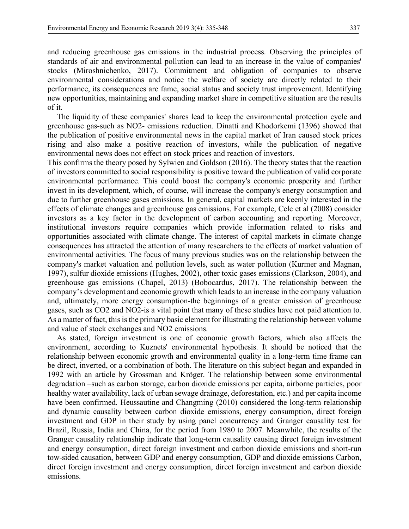and reducing greenhouse gas emissions in the industrial process. Observing the principles of standards of air and environmental pollution can lead to an increase in the value of companies' stocks (Miroshnichenko, 2017). Commitment and obligation of companies to observe environmental considerations and notice the welfare of society are directly related to their performance, its consequences are fame, social status and society trust improvement. Identifying new opportunities, maintaining and expanding market share in competitive situation are the results of it.

The liquidity of these companies' shares lead to keep the environmental protection cycle and greenhouse gas-such as NO2- emissions reduction. Dinatti and Khodorkemi (1396) showed that the publication of positive environmental news in the capital market of Iran caused stock prices rising and also make a positive reaction of investors, while the publication of negative environmental news does not effect on stock prices and reaction of investors.

This confirms the theory posed by Sylwien and Goldson (2016). The theory states that the reaction of investors committed to social responsibility is positive toward the publication of valid corporate environmental performance. This could boost the company's economic prosperity and further invest in its development, which, of course, will increase the company's energy consumption and due to further greenhouse gases emissions. In general, capital markets are keenly interested in the effects of climate changes and greenhouse gas emissions. For example, Celc et al (2008) consider investors as a key factor in the development of carbon accounting and reporting. Moreover, institutional investors require companies which provide information related to risks and opportunities associated with climate change. The interest of capital markets in climate change consequences has attracted the attention of many researchers to the effects of market valuation of environmental activities. The focus of many previous studies was on the relationship between the company's market valuation and pollution levels, such as water pollution (Kurmer and Magnan, 1997), sulfur dioxide emissions (Hughes, 2002), other toxic gases emissions (Clarkson, 2004), and greenhouse gas emissions (Chapel, 2013) (Bobocardus, 2017). The relationship between the company's development and economic growth which leads to an increase in the company valuation and, ultimately, more energy consumption-the beginnings of a greater emission of greenhouse gases, such as CO2 and NO2-is a vital point that many of these studies have not paid attention to. As a matter of fact, this is the primary basic element for illustrating the relationship between volume and value of stock exchanges and NO2 emissions.

As stated, foreign investment is one of economic growth factors, which also affects the environment, according to Kuznets' environmental hypothesis. It should be noticed that the relationship between economic growth and environmental quality in a long-term time frame can be direct, inverted, or a combination of both. The literature on this subject began and expanded in 1992 with an article by Grossman and Kröger. The relationship between some environmental degradation –such as carbon storage, carbon dioxide emissions per capita, airborne particles, poor healthy water availability, lack of urban sewage drainage, deforestation, etc.) and per capita income have been confirmed. Heussautine and Changming (2010) considered the long-term relationship and dynamic causality between carbon dioxide emissions, energy consumption, direct foreign investment and GDP in their study by using panel concurrency and Granger causality test for Brazil, Russia, India and China, for the period from 1980 to 2007. Meanwhile, the results of the Granger causality relationship indicate that long-term causality causing direct foreign investment and energy consumption, direct foreign investment and carbon dioxide emissions and short-run tow-sided causation, between GDP and energy consumption, GDP and dioxide emissions Carbon, direct foreign investment and energy consumption, direct foreign investment and carbon dioxide emissions.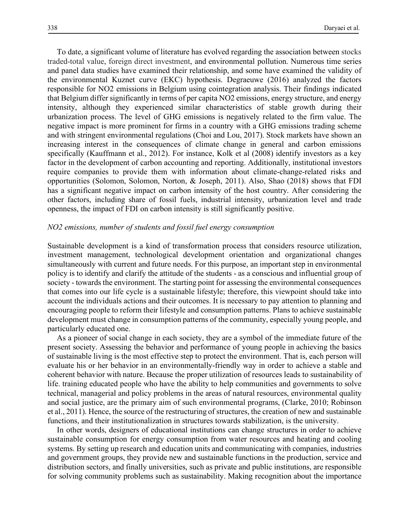To date, a significant volume of literature has evolved regarding the association between stocks traded-total value, foreign direct investment, and environmental pollution. Numerous time series and panel data studies have examined their relationship, and some have examined the validity of the environmental Kuznet curve (EKC) hypothesis. Degraeuwe (2016) analyzed the factors responsible for NO2 emissions in Belgium using cointegration analysis. Their findings indicated that Belgium differ significantly in terms of per capita NO2 emissions, energy structure, and energy intensity, although they experienced similar characteristics of stable growth during their urbanization process. The level of GHG emissions is negatively related to the firm value. The negative impact is more prominent for firms in a country with a GHG emissions trading scheme and with stringent environmental regulations (Choi and Lou, 2017). Stock markets have shown an increasing interest in the consequences of climate change in general and carbon emissions specifically (Kauffmann et al., 2012). For instance, Kolk et al (2008) identify investors as a key factor in the development of carbon accounting and reporting. Additionally, institutional investors require companies to provide them with information about climate-change-related risks and opportunities (Solomon, Solomon, Norton, & Joseph, 2011). Also, Shao (2018) shows that FDI has a significant negative impact on carbon intensity of the host country. After considering the other factors, including share of fossil fuels, industrial intensity, urbanization level and trade openness, the impact of FDI on carbon intensity is still significantly positive.

## *NO2 emissions, number of students and fossil fuel energy consumption*

Sustainable development is a kind of transformation process that considers resource utilization, investment management, technological development orientation and organizational changes simultaneously with current and future needs. For this purpose, an important step in environmental policy is to identify and clarify the attitude of the students - as a conscious and influential group of society - towards the environment. The starting point for assessing the environmental consequences that comes into our life cycle is a sustainable lifestyle; therefore, this viewpoint should take into account the individuals actions and their outcomes. It is necessary to pay attention to planning and encouraging people to reform their lifestyle and consumption patterns. Plans to achieve sustainable development must change in consumption patterns of the community, especially young people, and particularly educated one.

As a pioneer of social change in each society, they are a symbol of the immediate future of the present society. Assessing the behavior and performance of young people in achieving the basics of sustainable living is the most effective step to protect the environment. That is, each person will evaluate his or her behavior in an environmentally-friendly way in order to achieve a stable and coherent behavior with nature. Because the proper utilization of resources leads to sustainability of life. training educated people who have the ability to help communities and governments to solve technical, managerial and policy problems in the areas of natural resources, environmental quality and social justice, are the primary aim of such environmental programs, (Clarke, 2010; Robinson et al., 2011). Hence, the source of the restructuring of structures, the creation of new and sustainable functions, and their institutionalization in structures towards stabilization, is the university.

In other words, designers of educational institutions can change structures in order to achieve sustainable consumption for energy consumption from water resources and heating and cooling systems. By setting up research and education units and communicating with companies, industries and government groups, they provide new and sustainable functions in the production, service and distribution sectors, and finally universities, such as private and public institutions, are responsible for solving community problems such as sustainability. Making recognition about the importance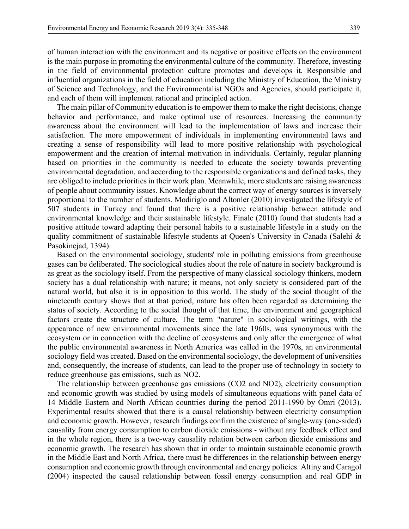of human interaction with the environment and its negative or positive effects on the environment is the main purpose in promoting the environmental culture of the community. Therefore, investing in the field of environmental protection culture promotes and develops it. Responsible and influential organizations in the field of education including the Ministry of Education, the Ministry of Science and Technology, and the Environmentalist NGOs and Agencies, should participate it, and each of them will implement rational and principled action.

The main pillar of Community education is to empower them to make the right decisions, change behavior and performance, and make optimal use of resources. Increasing the community awareness about the environment will lead to the implementation of laws and increase their satisfaction. The more empowerment of individuals in implementing environmental laws and creating a sense of responsibility will lead to more positive relationship with psychological empowerment and the creation of internal motivation in individuals. Certainly, regular planning based on priorities in the community is needed to educate the society towards preventing environmental degradation, and according to the responsible organizations and defined tasks, they are obliged to include priorities in their work plan. Meanwhile, more students are raising awareness of people about community issues. Knowledge about the correct way of energy sources is inversely proportional to the number of students. Modiriglo and Altonler (2010) investigated the lifestyle of 507 students in Turkey and found that there is a positive relationship between attitude and environmental knowledge and their sustainable lifestyle. Finale (2010) found that students had a positive attitude toward adapting their personal habits to a sustainable lifestyle in a study on the quality commitment of sustainable lifestyle students at Queen's University in Canada (Salehi & Pasokinejad, 1394).

Based on the environmental sociology, students' role in polluting emissions from greenhouse gases can be deliberated. The sociological studies about the role of nature in society background is as great as the sociology itself. From the perspective of many classical sociology thinkers, modern society has a dual relationship with nature; it means, not only society is considered part of the natural world, but also it is in opposition to this world. The study of the social thought of the nineteenth century shows that at that period, nature has often been regarded as determining the status of society. According to the social thought of that time, the environment and geographical factors create the structure of culture. The term "nature" in sociological writings, with the appearance of new environmental movements since the late 1960s, was synonymous with the ecosystem or in connection with the decline of ecosystems and only after the emergence of what the public environmental awareness in North America was called in the 1970s, an environmental sociology field was created. Based on the environmental sociology, the development of universities and, consequently, the increase of students, can lead to the proper use of technology in society to reduce greenhouse gas emissions, such as NO2.

The relationship between greenhouse gas emissions (CO2 and NO2), electricity consumption and economic growth was studied by using models of simultaneous equations with panel data of 14 Middle Eastern and North African countries during the period 2011-1990 by Omri (2013). Experimental results showed that there is a causal relationship between electricity consumption and economic growth. However, research findings confirm the existence of single-way (one-sided) causality from energy consumption to carbon dioxide emissions - without any feedback effect and in the whole region, there is a two-way causality relation between carbon dioxide emissions and economic growth. The research has shown that in order to maintain sustainable economic growth in the Middle East and North Africa, there must be differences in the relationship between energy consumption and economic growth through environmental and energy policies. Altiny and Caragol (2004) inspected the causal relationship between fossil energy consumption and real GDP in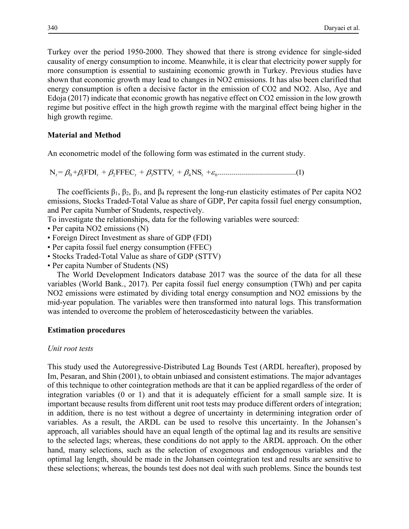Turkey over the period 1950-2000. They showed that there is strong evidence for single-sided causality of energy consumption to income. Meanwhile, it is clear that electricity power supply for more consumption is essential to sustaining economic growth in Turkey. Previous studies have shown that economic growth may lead to changes in NO2 emissions. It has also been clarified that energy consumption is often a decisive factor in the emission of CO2 and NO2. Also, Aye and Edoja (2017) indicate that economic growth has negative effect on CO2 emission in the low growth regime but positive effect in the high growth regime with the marginal effect being higher in the high growth regime.

# **Material and Method**

An econometric model of the following form was estimated in the current study.

N = + FDI + FFEC + STTV + NS + ............ 01 2 3 4 0 ...........................(1) *t t t tt* bb b b b <sup>e</sup>

The coefficients  $\beta_1$ ,  $\beta_2$ ,  $\beta_3$ , and  $\beta_4$  represent the long-run elasticity estimates of Per capita NO2 emissions, Stocks Traded-Total Value as share of GDP, Per capita fossil fuel energy consumption, and Per capita Number of Students, respectively.

To investigate the relationships, data for the following variables were sourced:

- Per capita NO2 emissions (N)
- Foreign Direct Investment as share of GDP (FDI)
- Per capita fossil fuel energy consumption (FFEC)
- Stocks Traded-Total Value as share of GDP (STTV)
- Per capita Number of Students (NS)

The World Development Indicators database 2017 was the source of the data for all these variables (World Bank., 2017). Per capita fossil fuel energy consumption (TWh) and per capita NO2 emissions were estimated by dividing total energy consumption and NO2 emissions by the mid-year population. The variables were then transformed into natural logs. This transformation was intended to overcome the problem of heteroscedasticity between the variables.

# **Estimation procedures**

# *Unit root tests*

This study used the Autoregressive-Distributed Lag Bounds Test (ARDL hereafter), proposed by Im, Pesaran, and Shin (2001), to obtain unbiased and consistent estimations. The major advantages of this technique to other cointegration methods are that it can be applied regardless of the order of integration variables (0 or 1) and that it is adequately efficient for a small sample size. It is important because results from different unit root tests may produce different orders of integration; in addition, there is no test without a degree of uncertainty in determining integration order of variables. As a result, the ARDL can be used to resolve this uncertainty. In the Johansen's approach, all variables should have an equal length of the optimal lag and its results are sensitive to the selected lags; whereas, these conditions do not apply to the ARDL approach. On the other hand, many selections, such as the selection of exogenous and endogenous variables and the optimal lag length, should be made in the Johansen cointegration test and results are sensitive to these selections; whereas, the bounds test does not deal with such problems. Since the bounds test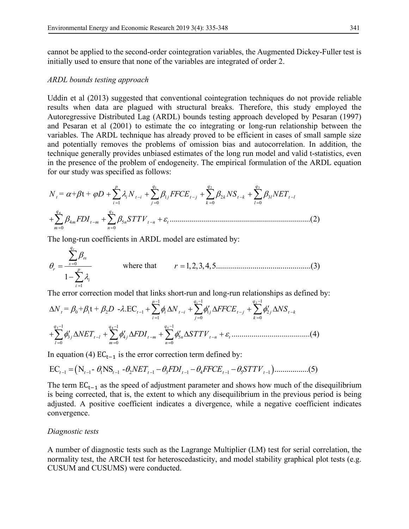cannot be applied to the second-order cointegration variables, the Augmented Dickey-Fuller test is initially used to ensure that none of the variables are integrated of order 2.

### *ARDL bounds testing approach*

Uddin et al (2013) suggested that conventional cointegration techniques do not provide reliable results when data are plagued with structural breaks. Therefore, this study employed the Autoregressive Distributed Lag (ARDL) bounds testing approach developed by Pesaran (1997) and Pesaran et al (2001) to estimate the co integrating or long-run relationship between the variables. The ARDL technique has already proved to be efficient in cases of small sample size and potentially removes the problems of omission bias and autocorrelation. In addition, the technique generally provides unbiased estimates of the long run model and valid t-statistics, even in the presence of the problem of endogeneity. The empirical formulation of the ARDL equation for our study was specified as follows:

1 2 3 4 5 1 23 10 0 0 4 5 0 0 = + t + ......................................................................(2) *p q q q t i ti j t j k tk l tl ij k l q q m tm n tn t m n N D N FFCE NS NET FDI STTV* ab j l b b b b be - -- - == = = - - = = ++ + + ++ + åå å å å å

The long-run coefficients in ARDL model are estimated by:

$$
\theta_r = \frac{\sum_{s=0}^{q_r} \beta_{rs}}{1 - \sum_{i=1}^{p} \lambda_i}
$$
 where that  $r = 1, 2, 3, 4, 5$ .................(3)

The error correction model that links short-run and long-run relationships as defined by:

1 2 3 5 4 1 1 1 01 2 1 1 2 10 0 1 1 1 345 0 00 = + t + - .EC .......................................(4) *p q q t t i ti j t j j tk ij k q q q j tl j tm n tn t lmn N D N FFCE NS NET FDI STTV* bb b l f f f f f fe - - - -- - - == = - - - -- - = == D + D + ¢ ¢ D + D + ¢¢¢ D + D + D + åå å ååå

In equation (4)  $EC_{t-1}$  is the error correction term defined by:

$$
EC_{t-1} = (N_{t-1} - \theta_1 NS_{t-1} - \theta_2 NET_{t-1} - \theta_3 FDI_{t-1} - \theta_4 FFCE_{t-1} - \theta_5 STTV_{t-1}) \dots \dots \dots \dots (5)
$$

The term  $EC_{t-1}$  as the speed of adjustment parameter and shows how much of the disequilibrium is being corrected, that is, the extent to which any disequilibrium in the previous period is being adjusted. A positive coefficient indicates a divergence, while a negative coefficient indicates convergence.

## *Diagnostic tests*

A number of diagnostic tests such as the Lagrange Multiplier (LM) test for serial correlation, the normality test, the ARCH test for heteroscedasticity, and model stability graphical plot tests (e.g. CUSUM and CUSUMS) were conducted.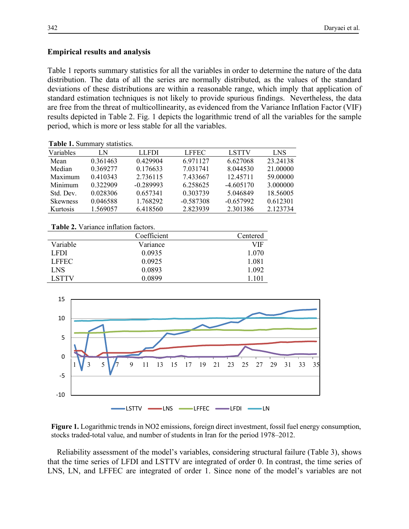## **Empirical results and analysis**

Table 1 reports summary statistics for all the variables in order to determine the nature of the data distribution. The data of all the series are normally distributed, as the values of the standard deviations of these distributions are within a reasonable range, which imply that application of standard estimation techniques is not likely to provide spurious findings. Nevertheless, the data are free from the threat of multicollinearity, as evidenced from the Variance Inflation Factor (VIF) results depicted in Table 2. Fig. 1 depicts the logarithmic trend of all the variables for the sample period, which is more or less stable for all the variables.

**Table 1.** Summary statistics.

| Variables       | LΝ       | <b>LLFDI</b> | <b>LFFEC</b> | <b>LSTTV</b> | <b>LNS</b> |
|-----------------|----------|--------------|--------------|--------------|------------|
| Mean            | 0.361463 | 0.429904     | 6.971127     | 6.627068     | 23.24138   |
| Median          | 0.369277 | 0.176633     | 7.031741     | 8.044530     | 21.00000   |
| Maximum         | 0.410343 | 2.736115     | 7.433667     | 12.45711     | 59,00000   |
| Minimum         | 0.322909 | $-0.289993$  | 6.258625     | $-4.605170$  | 3.000000   |
| Std. Dev.       | 0.028306 | 0.657341     | 0.303739     | 5.046849     | 18.56005   |
| <b>Skewness</b> | 0.046588 | 1.768292     | $-0.587308$  | $-0.657992$  | 0.612301   |
| Kurtosis        | 1.569057 | 6.418560     | 2.823939     | 2.301386     | 2.123734   |

#### **Table 2.** Variance inflation factors.

|              | Coefficient | Centered |
|--------------|-------------|----------|
| Variable     | Variance    | VIF      |
| <b>LFDI</b>  | 0.0935      | 1.070    |
| <b>LFFEC</b> | 0.0925      | 1.081    |
| <b>LNS</b>   | 0.0893      | 1 0 9 2  |
| <b>LSTTV</b> | 0.0899      | 1 101    |



**Figure 1.** Logarithmic trends in NO2 emissions, foreign direct investment, fossil fuel energy consumption, stocks traded-total value, and number of students in Iran for the period 1978–2012.

Reliability assessment of the model's variables, considering structural failure (Table 3), shows that the time series of LFDI and LSTTV are integrated of order 0. In contrast, the time series of LNS, LN, and LFFEC are integrated of order 1. Since none of the model's variables are not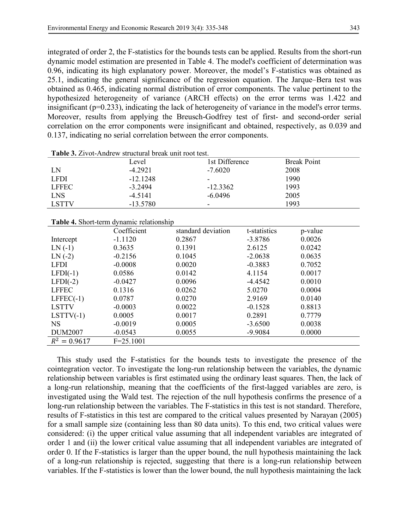integrated of order 2, the F-statistics for the bounds tests can be applied. Results from the short-run dynamic model estimation are presented in Table 4. The model's coefficient of determination was 0.96, indicating its high explanatory power. Moreover, the model's F-statistics was obtained as 25.1, indicating the general significance of the regression equation. The Jarque–Bera test was obtained as 0.465, indicating normal distribution of error components. The value pertinent to the hypothesized heterogeneity of variance (ARCH effects) on the error terms was 1.422 and insignificant (p=0.233), indicating the lack of heterogeneity of variance in the model's error terms. Moreover, results from applying the Breusch-Godfrey test of first- and second-order serial correlation on the error components were insignificant and obtained, respectively, as 0.039 and 0.137, indicating no serial correlation between the error components.

|              | Level      | 1st Difference | <b>Break Point</b> |
|--------------|------------|----------------|--------------------|
| LN           | $-4.2921$  | $-7.6020$      | 2008               |
| <b>LFDI</b>  | $-12.1248$ | -              | 1990               |
| <b>LFFEC</b> | $-3.2494$  | $-12.3362$     | 1993               |
| <b>LNS</b>   | $-4.5141$  | $-6.0496$      | 2005               |
| <b>LSTTV</b> | $-13.5780$ | -              | 1993               |

**Table 3.** Zivot-Andrew structural break unit root test.

#### **Table 4.** Short-term dynamic relationship

|                | Coefficient   | standard deviation | t-statistics | p-value |
|----------------|---------------|--------------------|--------------|---------|
| Intercept      | $-1.1120$     | 0.2867             | $-3.8786$    | 0.0026  |
| $LN( -1)$      | 0.3635        | 0.1391             | 2.6125       | 0.0242  |
| $LN( -2)$      | $-0.2156$     | 0.1045             | $-2.0638$    | 0.0635  |
| <b>LFDI</b>    | $-0.0008$     | 0.0020             | $-0.3883$    | 0.7052  |
| $LFDI(-1)$     | 0.0586        | 0.0142             | 4.1154       | 0.0017  |
| $LFDI(-2)$     | $-0.0427$     | 0.0096             | $-4.4542$    | 0.0010  |
| <b>LFFEC</b>   | 0.1316        | 0.0262             | 5.0270       | 0.0004  |
| $LFFEC(-1)$    | 0.0787        | 0.0270             | 2.9169       | 0.0140  |
| <b>LSTTV</b>   | $-0.0003$     | 0.0022             | $-0.1528$    | 0.8813  |
| $LSTTV(-1)$    | 0.0005        | 0.0017             | 0.2891       | 0.7779  |
| <b>NS</b>      | $-0.0019$     | 0.0005             | $-3.6500$    | 0.0038  |
| <b>DUM2007</b> | $-0.0543$     | 0.0055             | $-9.9084$    | 0.0000  |
| $R^2 = 0.9617$ | $F = 25.1001$ |                    |              |         |

This study used the F-statistics for the bounds tests to investigate the presence of the cointegration vector. To investigate the long-run relationship between the variables, the dynamic relationship between variables is first estimated using the ordinary least squares. Then, the lack of a long-run relationship, meaning that the coefficients of the first-lagged variables are zero, is investigated using the Wald test. The rejection of the null hypothesis confirms the presence of a long-run relationship between the variables. The F-statistics in this test is not standard. Therefore, results of F-statistics in this test are compared to the critical values presented by Narayan (2005) for a small sample size (containing less than 80 data units). To this end, two critical values were considered: (i) the upper critical value assuming that all independent variables are integrated of order 1 and (ii) the lower critical value assuming that all independent variables are integrated of order 0. If the F-statistics is larger than the upper bound, the null hypothesis maintaining the lack of a long-run relationship is rejected, suggesting that there is a long-run relationship between variables. If the F-statistics is lower than the lower bound, the null hypothesis maintaining the lack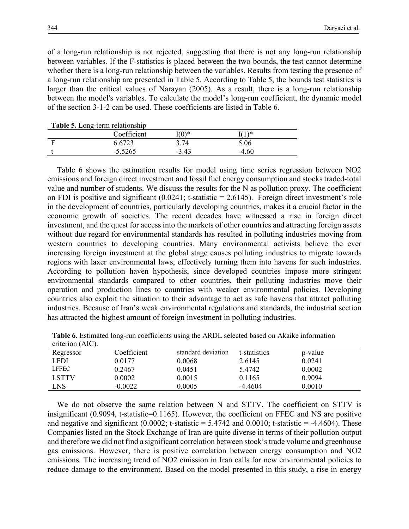of a long-run relationship is not rejected, suggesting that there is not any long-run relationship between variables. If the F-statistics is placed between the two bounds, the test cannot determine whether there is a long-run relationship between the variables. Results from testing the presence of a long-run relationship are presented in Table 5. According to Table 5, the bounds test statistics is larger than the critical values of Narayan (2005). As a result, there is a long-run relationship between the model's variables. To calculate the model's long-run coefficient, the dynamic model of the section 3-1-2 can be used. These coefficients are listed in Table 6.

| <b>Table 5.</b> Long-term relationship |             |         |         |  |
|----------------------------------------|-------------|---------|---------|--|
|                                        | Coefficient | $(0)^*$ | 71)*    |  |
|                                        | 6.6723      | 3.74    | 5.06    |  |
|                                        | $-5.5265$   | $-343$  | $-4.60$ |  |

Table 6 shows the estimation results for model using time series regression between NO2 emissions and foreign direct investment and fossil fuel energy consumption and stocks traded-total value and number of students. We discuss the results for the N as pollution proxy. The coefficient on FDI is positive and significant  $(0.0241; t-statistic = 2.6145)$ . Foreign direct investment's role in the development of countries, particularly developing countries, makes it a crucial factor in the economic growth of societies. The recent decades have witnessed a rise in foreign direct investment, and the quest for access into the markets of other countries and attracting foreign assets without due regard for environmental standards has resulted in polluting industries moving from western countries to developing countries. Many environmental activists believe the ever increasing foreign investment at the global stage causes polluting industries to migrate towards regions with laxer environmental laws, effectively turning them into havens for such industries. According to pollution haven hypothesis, since developed countries impose more stringent environmental standards compared to other countries, their polluting industries move their operation and production lines to countries with weaker environmental policies. Developing countries also exploit the situation to their advantage to act as safe havens that attract polluting industries. Because of Iran's weak environmental regulations and standards, the industrial section has attracted the highest amount of foreign investment in polluting industries.

| Table 6. Estimated long-run coefficients using the ARDL selected based on Akaike information |  |
|----------------------------------------------------------------------------------------------|--|
| criterion (AIC).                                                                             |  |

| Regressor    | Coefficient | standard deviation | t-statistics | p-value |
|--------------|-------------|--------------------|--------------|---------|
| LFDI.        | 0.0177      | 0.0068             | 2.6145       | 0.0241  |
| <b>LFFEC</b> | 0.2467      | 0.0451             | 5.4742       | 0.0002  |
| <b>LSTTV</b> | 0.0002      | 0.0015             | 0.1165       | 0 9094  |
| LNS          | $-0.0022$   | 0.0005             | $-4.4604$    | 0.0010  |

We do not observe the same relation between N and STTV. The coefficient on STTV is insignificant (0.9094, t-statistic=0.1165). However, the coefficient on FFEC and NS are positive and negative and significant  $(0.0002; t-statistic = 5.4742$  and  $0.0010; t-statistic = -4.4604)$ . These Companies listed on the Stock Exchange of Iran are quite diverse in terms of their pollution output and therefore we did not find a significant correlation between stock's trade volume and greenhouse gas emissions. However, there is positive correlation between energy consumption and NO2 emissions. The increasing trend of NO2 emission in Iran calls for new environmental policies to reduce damage to the environment. Based on the model presented in this study, a rise in energy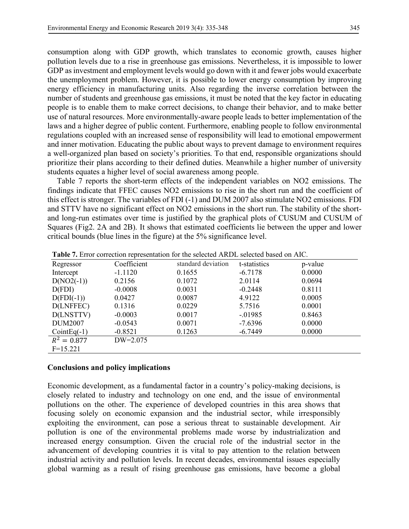consumption along with GDP growth, which translates to economic growth, causes higher pollution levels due to a rise in greenhouse gas emissions. Nevertheless, it is impossible to lower GDP as investment and employment levels would go down with it and fewer jobs would exacerbate the unemployment problem. However, it is possible to lower energy consumption by improving energy efficiency in manufacturing units. Also regarding the inverse correlation between the number of students and greenhouse gas emissions, it must be noted that the key factor in educating people is to enable them to make correct decisions, to change their behavior, and to make better use of natural resources. More environmentally-aware people leads to better implementation of the laws and a higher degree of public content. Furthermore, enabling people to follow environmental regulations coupled with an increased sense of responsibility will lead to emotional empowerment and inner motivation. Educating the public about ways to prevent damage to environment requires a well-organized plan based on society's priorities. To that end, responsible organizations should prioritize their plans according to their defined duties. Meanwhile a higher number of university students equates a higher level of social awareness among people.

Table 7 reports the short-term effects of the independent variables on NO2 emissions. The findings indicate that FFEC causes NO2 emissions to rise in the short run and the coefficient of this effect is stronger. The variables of FDI (-1) and DUM 2007 also stimulate NO2 emissions. FDI and STTV have no significant effect on NO2 emissions in the short run. The stability of the shortand long-run estimates over time is justified by the graphical plots of CUSUM and CUSUM of Squares (Fig2. 2A and 2B). It shows that estimated coefficients lie between the upper and lower critical bounds (blue lines in the figure) at the 5% significance level.

| Regressor      | Coefficient | standard deviation | t-statistics | p-value |
|----------------|-------------|--------------------|--------------|---------|
| Intercept      | $-1.1120$   | 0.1655             | $-6.7178$    | 0.0000  |
| $D(NO2(-1))$   | 0.2156      | 0.1072             | 2.0114       | 0.0694  |
| D(FDI)         | $-0.0008$   | 0.0031             | $-0.2448$    | 0.8111  |
| $D(FDI(-1))$   | 0.0427      | 0.0087             | 4.9122       | 0.0005  |
| D(LNFFEC)      | 0.1316      | 0.0229             | 5.7516       | 0.0001  |
| D(LNSTTV)      | $-0.0003$   | 0.0017             | $-0.01985$   | 0.8463  |
| <b>DUM2007</b> | $-0.0543$   | 0.0071             | $-7.6396$    | 0.0000  |
| $CointEq(-1)$  | $-0.8521$   | 0.1263             | $-6.7449$    | 0.0000  |
| $R^2 = 0.877$  | $DW=2.075$  |                    |              |         |
| $F=15.221$     |             |                    |              |         |

**Table 7.** Error correction representation for the selected ARDL selected based on AIC.

## **Conclusions and policy implications**

Economic development, as a fundamental factor in a country's policy-making decisions, is closely related to industry and technology on one end, and the issue of environmental pollutions on the other. The experience of developed countries in this area shows that focusing solely on economic expansion and the industrial sector, while irresponsibly exploiting the environment, can pose a serious threat to sustainable development. Air pollution is one of the environmental problems made worse by industrialization and increased energy consumption. Given the crucial role of the industrial sector in the advancement of developing countries it is vital to pay attention to the relation between industrial activity and pollution levels. In recent decades, environmental issues especially global warming as a result of rising greenhouse gas emissions, have become a global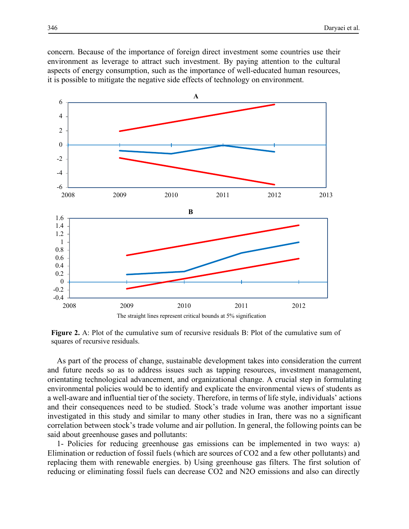concern. Because of the importance of foreign direct investment some countries use their environment as leverage to attract such investment. By paying attention to the cultural aspects of energy consumption, such as the importance of well-educated human resources, it is possible to mitigate the negative side effects of technology on environment.



**Figure 2.** A: Plot of the cumulative sum of recursive residuals B: Plot of the cumulative sum of squares of recursive residuals.

As part of the process of change, sustainable development takes into consideration the current and future needs so as to address issues such as tapping resources, investment management, orientating technological advancement, and organizational change. A crucial step in formulating environmental policies would be to identify and explicate the environmental views of students as a well-aware and influential tier of the society. Therefore, in terms of life style, individuals' actions and their consequences need to be studied. Stock's trade volume was another important issue investigated in this study and similar to many other studies in Iran, there was no a significant correlation between stock's trade volume and air pollution. In general, the following points can be said about greenhouse gases and pollutants:

1- Policies for reducing greenhouse gas emissions can be implemented in two ways: a) Elimination or reduction of fossil fuels (which are sources of CO2 and a few other pollutants) and replacing them with renewable energies. b) Using greenhouse gas filters. The first solution of reducing or eliminating fossil fuels can decrease CO2 and N2O emissions and also can directly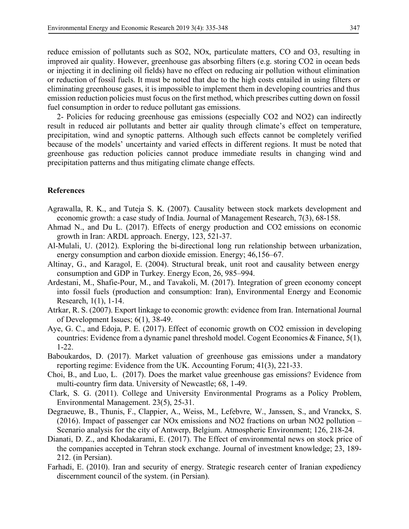reduce emission of pollutants such as SO2, NOx, particulate matters, CO and O3, resulting in improved air quality. However, greenhouse gas absorbing filters (e.g. storing CO2 in ocean beds or injecting it in declining oil fields) have no effect on reducing air pollution without elimination or reduction of fossil fuels. It must be noted that due to the high costs entailed in using filters or eliminating greenhouse gases, it is impossible to implement them in developing countries and thus emission reduction policies must focus on the first method, which prescribes cutting down on fossil fuel consumption in order to reduce pollutant gas emissions.

2- Policies for reducing greenhouse gas emissions (especially CO2 and NO2) can indirectly result in reduced air pollutants and better air quality through climate's effect on temperature, precipitation, wind and synoptic patterns. Although such effects cannot be completely verified because of the models' uncertainty and varied effects in different regions. It must be noted that greenhouse gas reduction policies cannot produce immediate results in changing wind and precipitation patterns and thus mitigating climate change effects.

#### **References**

- Agrawalla, R. K., and Tuteja S. K. (2007). Causality between stock markets development and economic growth: a case study of India. Journal of Management Research, 7(3), 68-158.
- Ahmad N., and Du L. (2017). Effects of energy production and CO2 emissions on economic growth in Iran: ARDL approach. Energy, 123, 521-37.
- Al-Mulali, U. (2012). Exploring the bi-directional long run relationship between urbanization, energy consumption and carbon dioxide emission. Energy; 46,156–67.
- Altinay, G., and Karagol, E. (2004). Structural break, unit root and causality between energy consumption and GDP in Turkey. Energy Econ, 26, 985–994.
- Ardestani, M., Shafie-Pour, M., and Tavakoli, M. (2017). Integration of green economy concept into fossil fuels (production and consumption: Iran), Environmental Energy and Economic Research, 1(1), 1-14.
- Atrkar, R. S. (2007). Export linkage to economic growth: evidence from Iran. International Journal of Development Issues; 6(1), 38-49.
- Aye, G. C., and Edoja, P. E. (2017). Effect of economic growth on CO2 emission in developing countries: Evidence from a dynamic panel threshold model. Cogent Economics & Finance, 5(1), 1-22.
- Baboukardos, D. (2017). Market valuation of greenhouse gas emissions under a mandatory reporting regime: Evidence from the UK. Accounting Forum; 41(3), 221-33.
- Choi, B., and Luo, L. (2017). Does the market value greenhouse gas emissions? Evidence from multi-country firm data. University of Newcastle; 68, 1-49.
- Clark, S. G. (2011). College and University Environmental Programs as a Policy Problem, Environmental Management. 23(5), 25-31.
- Degraeuwe, B., Thunis, F., Clappier, A., Weiss, M., Lefebvre, W., Janssen, S., and Vranckx, S. (2016). Impact of passenger car NOx emissions and NO2 fractions on urban NO2 pollution – Scenario analysis for the city of Antwerp, Belgium. Atmospheric Environment; 126, 218-24.
- Dianati, D. Z., and Khodakarami, E. (2017). The Effect of environmental news on stock price of the companies accepted in Tehran stock exchange. Journal of investment knowledge; 23, 189- 212. (in Persian).
- Farhadi, E. (2010). Iran and security of energy. Strategic research center of Iranian expediency discernment council of the system. (in Persian).